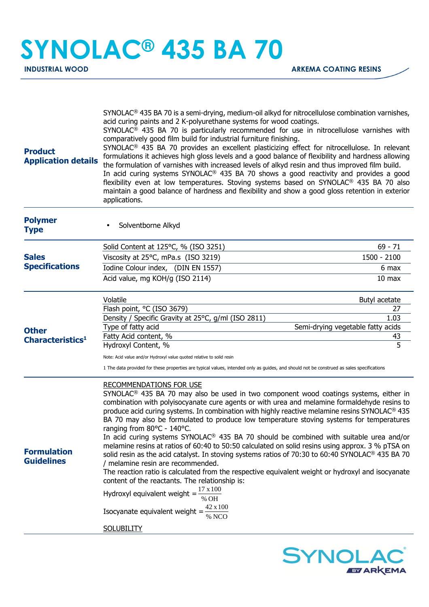## **SYNOLAC® 435 BA 70**

| <b>Product</b><br><b>Application details</b> | SYNOLAC <sup>®</sup> 435 BA 70 is a semi-drying, medium-oil alkyd for nitrocellulose combination varnishes,<br>acid curing paints and 2 K-polyurethane systems for wood coatings.<br>SYNOLAC <sup>®</sup> 435 BA 70 is particularly recommended for use in nitrocellulose varnishes with<br>comparatively good film build for industrial furniture finishing.<br>SYNOLAC® 435 BA 70 provides an excellent plasticizing effect for nitrocellulose. In relevant<br>formulations it achieves high gloss levels and a good balance of flexibility and hardness allowing<br>the formulation of varnishes with increased levels of alkyd resin and thus improved film build.<br>In acid curing systems SYNOLAC <sup>®</sup> 435 BA 70 shows a good reactivity and provides a good<br>flexibility even at low temperatures. Stoving systems based on SYNOLAC <sup>®</sup> 435 BA 70 also<br>maintain a good balance of hardness and flexibility and show a good gloss retention in exterior<br>applications.                                                                                                 |                                           |
|----------------------------------------------|-------------------------------------------------------------------------------------------------------------------------------------------------------------------------------------------------------------------------------------------------------------------------------------------------------------------------------------------------------------------------------------------------------------------------------------------------------------------------------------------------------------------------------------------------------------------------------------------------------------------------------------------------------------------------------------------------------------------------------------------------------------------------------------------------------------------------------------------------------------------------------------------------------------------------------------------------------------------------------------------------------------------------------------------------------------------------------------------------------|-------------------------------------------|
| <b>Polymer</b><br><b>Type</b>                | Solventborne Alkyd                                                                                                                                                                                                                                                                                                                                                                                                                                                                                                                                                                                                                                                                                                                                                                                                                                                                                                                                                                                                                                                                                    |                                           |
|                                              | Solid Content at 125°C, % (ISO 3251)                                                                                                                                                                                                                                                                                                                                                                                                                                                                                                                                                                                                                                                                                                                                                                                                                                                                                                                                                                                                                                                                  | $69 - 71$                                 |
| <b>Sales</b><br><b>Specifications</b>        | Viscosity at 25°C, mPa.s (ISO 3219)                                                                                                                                                                                                                                                                                                                                                                                                                                                                                                                                                                                                                                                                                                                                                                                                                                                                                                                                                                                                                                                                   | 1500 - 2100                               |
|                                              | Iodine Colour index, (DIN EN 1557)                                                                                                                                                                                                                                                                                                                                                                                                                                                                                                                                                                                                                                                                                                                                                                                                                                                                                                                                                                                                                                                                    | 6 max                                     |
|                                              | Acid value, mg KOH/g (ISO 2114)                                                                                                                                                                                                                                                                                                                                                                                                                                                                                                                                                                                                                                                                                                                                                                                                                                                                                                                                                                                                                                                                       | 10 <sub>max</sub>                         |
|                                              | Volatile                                                                                                                                                                                                                                                                                                                                                                                                                                                                                                                                                                                                                                                                                                                                                                                                                                                                                                                                                                                                                                                                                              | Butyl acetate                             |
|                                              | Flash point, °C (ISO 3679)                                                                                                                                                                                                                                                                                                                                                                                                                                                                                                                                                                                                                                                                                                                                                                                                                                                                                                                                                                                                                                                                            | 27                                        |
|                                              | Density / Specific Gravity at 25°C, g/ml (ISO 2811)<br>Type of fatty acid                                                                                                                                                                                                                                                                                                                                                                                                                                                                                                                                                                                                                                                                                                                                                                                                                                                                                                                                                                                                                             | 1.03<br>Semi-drying vegetable fatty acids |
| <b>Other</b><br>Characteristics <sup>1</sup> | Fatty Acid content, %                                                                                                                                                                                                                                                                                                                                                                                                                                                                                                                                                                                                                                                                                                                                                                                                                                                                                                                                                                                                                                                                                 | 43                                        |
|                                              | Hydroxyl Content, %                                                                                                                                                                                                                                                                                                                                                                                                                                                                                                                                                                                                                                                                                                                                                                                                                                                                                                                                                                                                                                                                                   | 5                                         |
|                                              | Note: Acid value and/or Hydroxyl value quoted relative to solid resin                                                                                                                                                                                                                                                                                                                                                                                                                                                                                                                                                                                                                                                                                                                                                                                                                                                                                                                                                                                                                                 |                                           |
|                                              | 1 The data provided for these properties are typical values, intended only as guides, and should not be construed as sales specifications                                                                                                                                                                                                                                                                                                                                                                                                                                                                                                                                                                                                                                                                                                                                                                                                                                                                                                                                                             |                                           |
| <b>Formulation</b><br><b>Guidelines</b>      | <b>RECOMMENDATIONS FOR USE</b><br>$SYNOLAC®$ 435 BA 70 may also be used in two component wood coatings systems, either in<br>combination with polyisocyanate cure agents or with urea and melamine formaldehyde resins to<br>produce acid curing systems. In combination with highly reactive melamine resins SYNOLAC® 435<br>BA 70 may also be formulated to produce low temperature stoving systems for temperatures<br>ranging from 80°C - 140°C.<br>In acid curing systems SYNOLAC <sup>®</sup> 435 BA 70 should be combined with suitable urea and/or<br>melamine resins at ratios of 60:40 to 50:50 calculated on solid resins using approx. 3 % pTSA on<br>solid resin as the acid catalyst. In stoving systems ratios of 70:30 to 60:40 SYNOLAC® 435 BA 70<br>/ melamine resin are recommended.<br>The reaction ratio is calculated from the respective equivalent weight or hydroxyl and isocyanate<br>content of the reactants. The relationship is:<br>$17 \times 100$<br>Hydroxyl equivalent weight =<br>% OH<br>42 x 100<br>Isocyanate equivalent weight =<br>% NCO<br><b>SOLUBILITY</b> |                                           |